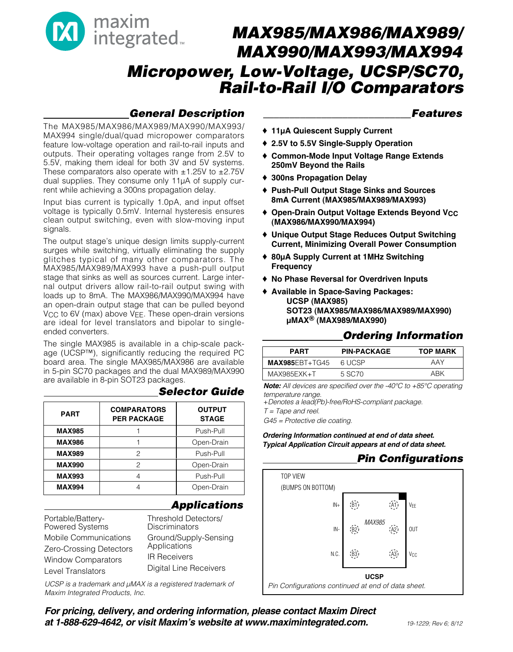

# **General Description**

### **\_\_\_\_\_\_\_\_\_\_\_\_\_\_\_\_\_\_\_\_\_\_\_\_\_\_\_\_Features**

The MAX985/MAX986/MAX989/MAX990/MAX993/ MAX994 single/dual/quad micropower comparators feature low-voltage operation and rail-to-rail inputs and outputs. Their operating voltages range from 2.5V to 5.5V, making them ideal for both 3V and 5V systems. These comparators also operate with  $\pm 1.25V$  to  $\pm 2.75V$ dual supplies. They consume only 11µA of supply current while achieving a 300ns propagation delay.

Input bias current is typically 1.0pA, and input offset voltage is typically 0.5mV. Internal hysteresis ensures clean output switching, even with slow-moving input signals.

The output stage's unique design limits supply-current surges while switching, virtually eliminating the supply glitches typical of many other comparators. The MAX985/MAX989/MAX993 have a push-pull output stage that sinks as well as sources current. Large internal output drivers allow rail-to-rail output swing with loads up to 8mA. The MAX986/MAX990/MAX994 have an open-drain output stage that can be pulled beyond V<sub>CC</sub> to 6V (max) above V<sub>EE</sub>. These open-drain versions are ideal for level translators and bipolar to singleended converters.

The single MAX985 is available in a chip-scale package (UCSP™), significantly reducing the required PC board area. The single MAX985/MAX986 are available in 5-pin SC70 packages and the dual MAX989/MAX990 are available in 8-pin SOT23 packages.

| <b>PART</b>   | <b>COMPARATORS</b><br><b>PER PACKAGE</b> | <b>OUTPUT</b><br><b>STAGE</b> |
|---------------|------------------------------------------|-------------------------------|
| <b>MAX985</b> |                                          | Push-Pull                     |
| <b>MAX986</b> |                                          | Open-Drain                    |
| <b>MAX989</b> | 2                                        | Push-Pull                     |
| <b>MAX990</b> | 2                                        | Open-Drain                    |
| <b>MAX993</b> |                                          | Push-Pull                     |
| <b>MAX994</b> |                                          | Open-Drain                    |

### **Selector Guide**

### **Applications**

Portable/Battery-Powered Systems Mobile Communications Zero-Crossing Detectors Window Comparators Level Translators Threshold Detectors/

**Discriminators** Ground/Supply-Sensing Applications IR Receivers Digital Line Receivers

UCSP is a trademark and  $\mu$ MAX is a registered trademark of Maxim Integrated Products, Inc.

♦ **11µA Quiescent Supply Current**

- ♦ **2.5V to 5.5V Single-Supply Operation**
- ♦ **Common-Mode Input Voltage Range Extends 250mV Beyond the Rails**
- ♦ **300ns Propagation Delay**
- ♦ **Push-Pull Output Stage Sinks and Sources 8mA Current (MAX985/MAX989/MAX993)**
- ♦ **Open-Drain Output Voltage Extends Beyond VCC (MAX986/MAX990/MAX994)**
- ♦ **Unique Output Stage Reduces Output Switching Current, Minimizing Overall Power Consumption**
- ♦ **80µA Supply Current at 1MHz Switching Frequency**
- ♦ **No Phase Reversal for Overdriven Inputs**
- ♦ **Available in Space-Saving Packages: UCSP (MAX985) SOT23 (MAX985/MAX986/MAX989/MAX990) µMAX® (MAX989/MAX990)**

# **Ordering Information**

| PART                  | <b>PIN-PACKAGE</b> | <b>TOP MARK</b> |
|-----------------------|--------------------|-----------------|
| <b>MAX985EBT+TG45</b> | 6 UCSP             | AAY             |
| $MAX985EXK+T$         | 5 SC.70            | ARK             |

**Note:** All devices are specified over the -40°C to +85°C operating temperature range.

+Denotes a lead(Pb)-free/RoHS-compliant package.

 $T = \text{Tape}$  and reel.

G45 = Protective die coating.

**Ordering Information continued at end of data sheet. Typical Application Circuit appears at end of data sheet.**

# **Pin Configurations**



**For pricing, delivery, and ordering information, please contact Maxim Direct at 1-888-629-4642, or visit Maxim's website at www.maximintegrated.com.**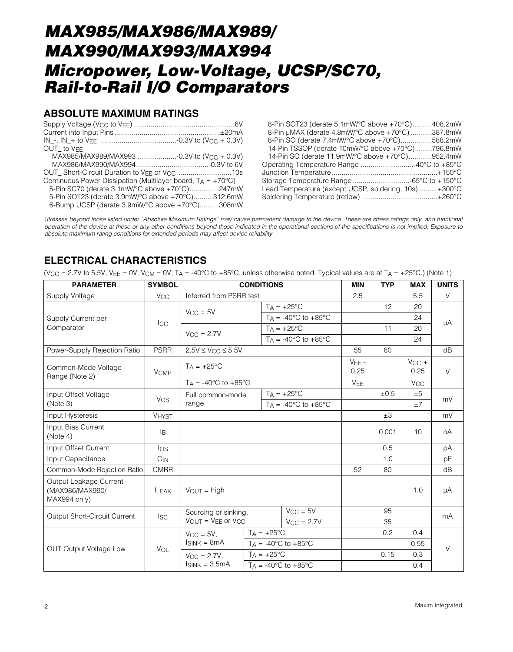### **ABSOLUTE MAXIMUM RATINGS**

| OUT to VFF                                                             |  |
|------------------------------------------------------------------------|--|
| MAX985/MAX989/MAX993 -0.3V to (V <sub>CC</sub> + 0.3V)                 |  |
|                                                                        |  |
| OUT_Short-Circuit Duration to VEE or V <sub>CC</sub> 10s               |  |
| Continuous Power Dissipation (Multilayer board, $T_A = +70^{\circ}C$ ) |  |
| 5-Pin SC70 (derate 3.1mW/°C above +70°C)247mW                          |  |
| 5-Pin SOT23 (derate 3.9mW/°C above +70°C)312.6mW                       |  |
| 6-Bump UCSP (derate 3.9mW/°C above +70°C)308mW                         |  |

8-Pin SOT23 (derate 5.1mW/°C above +70°C)..........408.2mW 8-Pin µMAX (derate 4.8mW/°C above +70°C) ...........387.8mW 8-Pin SO (derate 7.4mW/°C above +70°C)................588.2mW 14-Pin TSSOP (derate 10mW/°C above +70°C) ........796.8mW 14-Pin SO (derate 11.9mW/°C above +70°C)............952.4mW Operating Temperature Range ...........................-40°C to +85°C Junction Temperature......................................................+150°C Storage Temperature Range .............................-65°C to +150°C Lead Temperature (except UCSP, soldering, 10s)..........+300°C Soldering Temperature (reflow) ......................................+260°C

Stresses beyond those listed under "Absolute Maximum Ratings" may cause permanent damage to the device. These are stress ratings only, and functional operation of the device at these or any other conditions beyond those indicated in the operational sections of the specifications is not implied. Exposure to absolute maximum rating conditions for extended periods may affect device reliability.

### **ELECTRICAL CHARACTERISTICS**

(V<sub>CC</sub> = 2.7V to 5.5V, V<sub>EF</sub> = 0V, V<sub>CM</sub> = 0V, T<sub>A</sub> = -40°C to +85°C, unless otherwise noted. Typical values are at T<sub>A</sub> = +25°C.) (Note 1)

| <b>PARAMETER</b>                                          | <b>SYMBOL</b>          | <b>CONDITIONS</b>                     |                     |                                          | <b>MIN</b>      | <b>TYP</b> | <b>MAX</b>            | <b>UNITS</b> |  |
|-----------------------------------------------------------|------------------------|---------------------------------------|---------------------|------------------------------------------|-----------------|------------|-----------------------|--------------|--|
| Supply Voltage                                            | <b>V<sub>CC</sub></b>  | Inferred from PSRR test               |                     |                                          | 2.5             |            | 5.5                   | V            |  |
|                                                           |                        | $V_{CC} = 5V$                         |                     | $TA = +25^{\circ}C$                      |                 | 12         | 20                    |              |  |
| Supply Current per                                        |                        |                                       |                     | $T_A = -40^{\circ}C$ to $+85^{\circ}C$   |                 |            | 24                    |              |  |
| Comparator                                                | <b>ICC</b>             | $V_{CC} = 2.7V$                       |                     | $T_A = +25$ °C                           |                 | 11         | 20                    | μA           |  |
|                                                           |                        |                                       |                     | $T_A = -40^{\circ}$ C to $+85^{\circ}$ C |                 |            | 24                    |              |  |
| Power-Supply Rejection Ratio                              | <b>PSRR</b>            | $2.5V \leq V_{CC} \leq 5.5V$          |                     |                                          | 55              | 80         |                       | dB           |  |
| Common-Mode Voltage<br>Range (Note 2)                     | <b>V<sub>CMR</sub></b> | $T_A = +25^{\circ}C$                  |                     |                                          | $VEE -$<br>0.25 |            | $V_{CC}$ +<br>0.25    | $\vee$       |  |
|                                                           |                        | $Ta = -40^{\circ}C$ to $+85^{\circ}C$ |                     |                                          | <b>VEE</b>      |            | <b>V<sub>CC</sub></b> |              |  |
| Input Offset Voltage                                      | <b>VOS</b>             | Full common-mode                      |                     | $T_A = +25$ °C                           |                 | ±0.5       | ±5                    | mV           |  |
| (Note 3)                                                  |                        | range                                 |                     | $T_A = -40^{\circ}$ C to $+85^{\circ}$ C |                 |            | $\pm 7$               |              |  |
| Input Hysteresis                                          | <b>VHYST</b>           |                                       |                     |                                          |                 | $\pm 3$    |                       | mV           |  |
| Input Bias Current<br>(Note 4)                            | Iв                     |                                       |                     |                                          | 0.001           | 10         | nA                    |              |  |
| Input Offset Current                                      | $\log$                 |                                       |                     |                                          |                 | 0.5        |                       | pA           |  |
| Input Capacitance                                         | $C_{IN}$               |                                       |                     |                                          |                 | 1.0        |                       | pF           |  |
| Common-Mode Rejection Ratio                               | <b>CMRR</b>            |                                       |                     |                                          | 52              | 80         |                       | dB           |  |
| Output Leakage Current<br>(MAX986/MAX990/<br>MAX994 only) | <b>ILEAK</b>           | $V_{OUT}$ = high                      |                     |                                          |                 | 1.0        | μA                    |              |  |
| Output Short-Circuit Current                              | $I_{SC}$               | Sourcing or sinking,                  |                     | $V_{CC} = 5V$                            |                 | 95         |                       | mA           |  |
|                                                           |                        | $V_{OUT} = V_{EE}$ or $V_{CC}$        |                     | $V_{CC} = 2.7V$                          |                 | 35         |                       |              |  |
| <b>OUT Output Voltage Low</b>                             | VOL                    | $V_{\rm CC} = 5V$ .                   | $TA = +25^{\circ}C$ |                                          |                 | 0.2        | 0.4                   |              |  |
|                                                           |                        | $I_{SINK} = 8mA$                      |                     | $T_A = -40^{\circ}$ C to $+85^{\circ}$ C |                 |            | 0.55                  |              |  |
|                                                           |                        | $V_{\rm CC} = 2.7V$ ,                 |                     | $T_A = +25^{\circ}C$                     |                 | 0.15       | 0.3                   |              |  |
|                                                           |                        | $I_{SINK} = 3.5mA$                    |                     | $Ta = -40^{\circ}C$ to $+85^{\circ}C$    |                 |            | 0.4                   |              |  |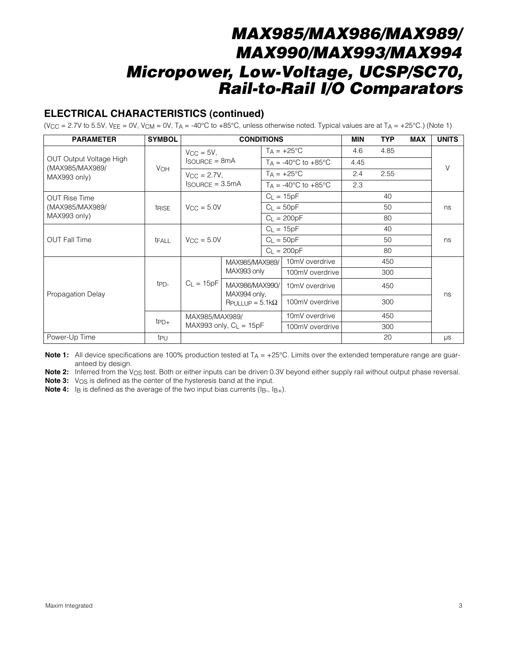# **ELECTRICAL CHARACTERISTICS (continued)**

(V<sub>CC</sub> = 2.7V to 5.5V, V<sub>EE</sub> = 0V, V<sub>CM</sub> = 0V, T<sub>A</sub> = -40°C to +85°C, unless otherwise noted. Typical values are at T<sub>A</sub> = +25°C.) (Note 1)

| <b>PARAMETER</b>                                                  | <b>SYMBOL</b>         |                                             | <b>CONDITIONS</b>              |                                        | MIN  | <b>TYP</b> | <b>MAX</b> | <b>UNITS</b> |
|-------------------------------------------------------------------|-----------------------|---------------------------------------------|--------------------------------|----------------------------------------|------|------------|------------|--------------|
| <b>OUT Output Voltage High</b><br>(MAX985/MAX989/<br>MAX993 only) |                       | $VCC = 5V$ ,<br>$I$ SOURCE = $8mA$          |                                | $T_A = +25^{\circ}C$                   | 4.6  | 4.85       |            | $\vee$       |
|                                                                   |                       |                                             |                                | $T_A = -40^{\circ}C$ to $+85^{\circ}C$ | 4.45 |            |            |              |
|                                                                   | <b>V<sub>OH</sub></b> | $V_{\rm CC} = 2.7V$ ,                       |                                | $T_A = +25$ °C                         | 2.4  | 2.55       |            |              |
|                                                                   |                       | $I$ SOURCE = 3.5mA                          |                                | $TA = -40^{\circ}C$ to $+85^{\circ}C$  | 2.3  |            |            |              |
| <b>OUT Rise Time</b>                                              |                       |                                             |                                | $C_L = 15pF$                           |      | 40         |            |              |
| (MAX985/MAX989/                                                   | trise                 | $V_{\rm CC} = 5.0V$                         |                                | $C_L = 50pF$                           |      | 50         |            | ns           |
| MAX993 only)                                                      |                       |                                             |                                | $C_{L} = 200pF$                        |      | 80         |            |              |
| <b>OUT Fall Time</b>                                              | tFALL                 | $V_{CC} = 5.0V$                             |                                | $C_L = 15pF$                           |      | 40         |            |              |
|                                                                   |                       |                                             |                                | $C_L = 50pF$                           |      | 50         |            | ns           |
|                                                                   |                       |                                             |                                | $C_1 = 200pF$                          |      | 80         |            |              |
|                                                                   | t <sub>PD</sub> -     |                                             | MAX985/MAX989/                 | 10mV overdrive                         |      | 450        |            |              |
|                                                                   |                       |                                             | MAX993 only                    | 100mV overdrive                        |      | 300        |            |              |
| Propagation Delay                                                 |                       | $C_L = 15pF$                                | MAX986/MAX990/<br>MAX994 only, | 10mV overdrive                         |      | 450        |            | ns           |
|                                                                   |                       |                                             | $R$ PULLUP = 5.1k $\Omega$     | 100mV overdrive                        |      | 300        |            |              |
|                                                                   | $tpD+$                | MAX985/MAX989/<br>MAX993 only, $C_L = 15pF$ |                                | 10mV overdrive                         |      | 450        |            |              |
|                                                                   |                       |                                             |                                | 100mV overdrive                        |      | 300        |            |              |
| Power-Up Time                                                     | t <sub>PU</sub>       |                                             |                                |                                        |      | 20         |            | $\mu s$      |

**Note 1:** All device specifications are 100% production tested at T<sub>A</sub> = +25°C. Limits over the extended temperature range are guaranteed by design.

Note 2: Inferred from the V<sub>OS</sub> test. Both or either inputs can be driven 0.3V beyond either supply rail without output phase reversal.

**Note 3:** V<sub>OS</sub> is defined as the center of the hysteresis band at the input.

**Note 4:** I<sub>B</sub> is defined as the average of the two input bias currents (I<sub>B-</sub>, I<sub>B+</sub>).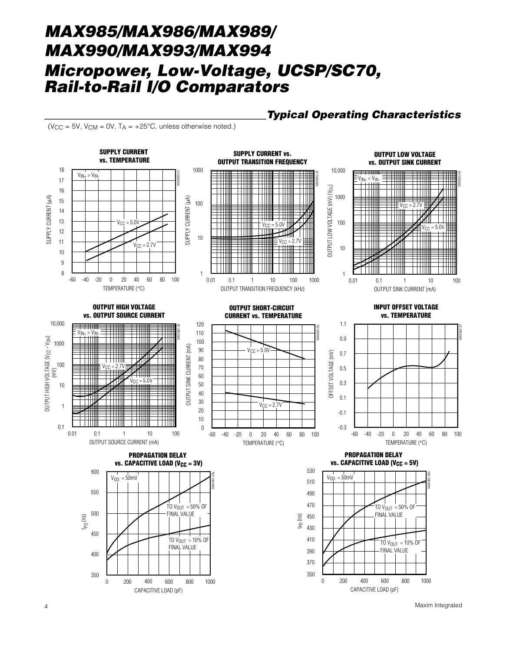(V<sub>CC</sub> = 5V, V<sub>CM</sub> = 0V, T<sub>A</sub> =  $+25^{\circ}$ C, unless otherwise noted.)



**\_\_\_\_\_\_\_\_\_\_\_\_\_\_\_\_\_\_\_\_\_\_\_\_\_\_\_\_\_\_\_\_\_\_\_\_\_\_\_\_\_\_Typical Operating Characteristics**

4 Maxim Integrated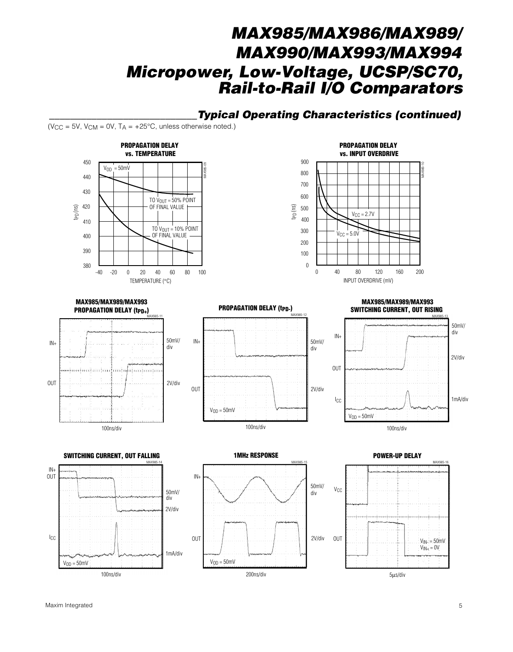### **\_\_\_\_\_\_\_\_\_\_\_\_\_\_\_\_\_\_\_\_\_\_\_\_\_\_\_\_Typical Operating Characteristics (continued)**

(V<sub>CC</sub> = 5V, V<sub>CM</sub> = 0V, T<sub>A</sub> =  $+25^{\circ}$ C, unless otherwise noted.)





**MAX985/MAX989/MAX993 PROPAGATION DELAY (t<sub>PD+</sub>)** MAX985-11



IN+ OUT MAX985-12 50mV/ div 2V/div  $V<sub>OD</sub> = 50$ mV

100ns/div

**PROPAGATION DELAY (tpp-)** 

#### **MAX985/MAX989/MAX993 SWITCHING CURRENT, OUT RISING**







#### **POWER-UP DELAY**

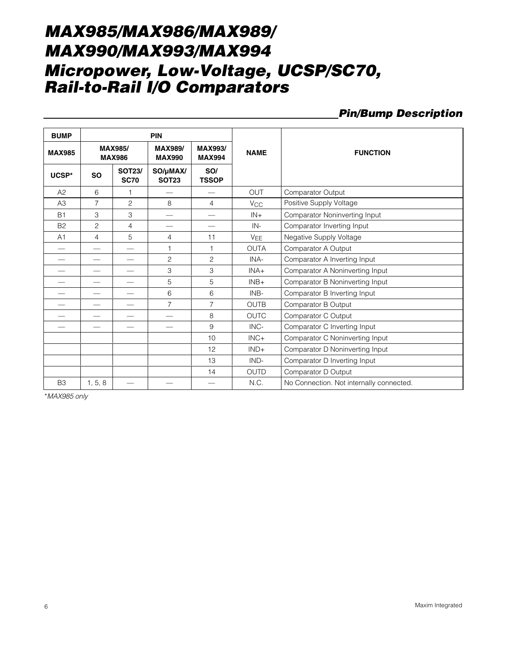### **Pin/Bump Description**

| <b>BUMP</b>    |                          |                                 | <b>PIN</b>                      |                                 |                       |                                          |
|----------------|--------------------------|---------------------------------|---------------------------------|---------------------------------|-----------------------|------------------------------------------|
| <b>MAX985</b>  |                          | <b>MAX985/</b><br><b>MAX986</b> | <b>MAX989/</b><br><b>MAX990</b> | <b>MAX993/</b><br><b>MAX994</b> | <b>NAME</b>           | <b>FUNCTION</b>                          |
| UCSP*          | <b>SO</b>                | <b>SOT23/</b><br><b>SC70</b>    | SO/µMAX/<br><b>SOT23</b>        | SO/<br><b>TSSOP</b>             |                       |                                          |
| A2             | 6                        | 1                               |                                 |                                 | <b>OUT</b>            | Comparator Output                        |
| A <sub>3</sub> | $\overline{7}$           | $\overline{c}$                  | 8                               | $\overline{4}$                  | <b>V<sub>CC</sub></b> | Positive Supply Voltage                  |
| <b>B1</b>      | 3                        | 3                               | $\qquad \qquad$                 | $\overline{\phantom{0}}$        | $IN +$                | Comparator Noninverting Input            |
| <b>B2</b>      | $\overline{c}$           | 4                               | $\overline{\phantom{0}}$        |                                 | $IN -$                | Comparator Inverting Input               |
| A <sub>1</sub> | $\overline{4}$           | 5                               | 4                               | 11                              | <b>VEE</b>            | Negative Supply Voltage                  |
|                |                          |                                 | 1                               | 1                               | <b>OUTA</b>           | Comparator A Output                      |
|                |                          |                                 | $\overline{c}$                  | $\overline{c}$                  | INA-                  | Comparator A Inverting Input             |
|                |                          | $\overline{\phantom{0}}$        | 3                               | 3                               | $INA+$                | Comparator A Noninverting Input          |
|                | $\overline{\phantom{0}}$ | $\overline{\phantom{0}}$        | 5                               | 5                               | $INB+$                | Comparator B Noninverting Input          |
|                |                          | $\overline{\phantom{0}}$        | 6                               | 6                               | INB-                  | Comparator B Inverting Input             |
|                |                          | $\overline{\phantom{0}}$        | $\overline{7}$                  | $\overline{7}$                  | <b>OUTB</b>           | Comparator B Output                      |
|                |                          |                                 |                                 | 8                               | <b>OUTC</b>           | Comparator C Output                      |
|                |                          |                                 |                                 | 9                               | INC-                  | Comparator C Inverting Input             |
|                |                          |                                 |                                 | 10                              | $INC+$                | Comparator C Noninverting Input          |
|                |                          |                                 |                                 | 12                              | $IND+$                | Comparator D Noninverting Input          |
|                |                          |                                 |                                 | 13                              | $IND-$                | Comparator D Inverting Input             |
|                |                          |                                 |                                 | 14                              | <b>OUTD</b>           | Comparator D Output                      |
| B <sub>3</sub> | 1, 5, 8                  |                                 |                                 |                                 | N.C.                  | No Connection. Not internally connected. |

\*MAX985 only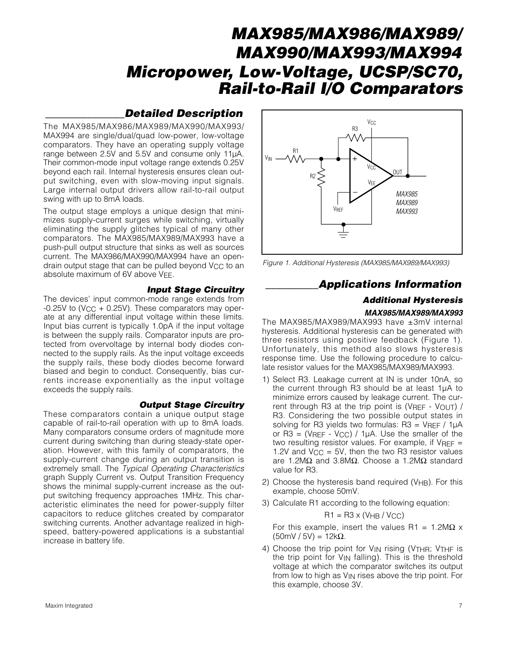### **\_\_\_\_\_\_\_\_\_\_\_\_\_\_\_Detailed Description**

The MAX985/MAX986/MAX989/MAX990/MAX993/ MAX994 are single/dual/quad low-power, low-voltage comparators. They have an operating supply voltage range between 2.5V and 5.5V and consume only 11µA. Their common-mode input voltage range extends 0.25V beyond each rail. Internal hysteresis ensures clean output switching, even with slow-moving input signals. Large internal output drivers allow rail-to-rail output swing with up to 8mA loads.

The output stage employs a unique design that minimizes supply-current surges while switching, virtually eliminating the supply glitches typical of many other comparators. The MAX985/MAX989/MAX993 have a push-pull output structure that sinks as well as sources current. The MAX986/MAX990/MAX994 have an opendrain output stage that can be pulled beyond V<sub>CC</sub> to an absolute maximum of 6V above VFF.

#### **Input Stage Circuitry**

The devices' input common-mode range extends from  $-0.25V$  to (V<sub>CC</sub> + 0.25V). These comparators may operate at any differential input voltage within these limits. Input bias current is typically 1.0pA if the input voltage is between the supply rails. Comparator inputs are protected from overvoltage by internal body diodes connected to the supply rails. As the input voltage exceeds the supply rails, these body diodes become forward biased and begin to conduct. Consequently, bias currents increase exponentially as the input voltage exceeds the supply rails.

#### **Output Stage Circuitry**

These comparators contain a unique output stage capable of rail-to-rail operation with up to 8mA loads. Many comparators consume orders of magnitude more current during switching than during steady-state operation. However, with this family of comparators, the supply-current change during an output transition is extremely small. The Typical Operating Characteristics graph Supply Current vs. Output Transition Frequency shows the minimal supply-current increase as the output switching frequency approaches 1MHz. This characteristic eliminates the need for power-supply filter capacitors to reduce glitches created by comparator switching currents. Another advantage realized in highspeed, battery-powered applications is a substantial increase in battery life.



Figure 1. Additional Hysteresis (MAX985/MAX989/MAX993)

### **\_\_\_\_\_\_\_\_\_\_Applications Information**

### **Additional Hysteresis**

#### **MAX985/MAX989/MAX993**

The MAX985/MAX989/MAX993 have ±3mV internal hysteresis. Additional hysteresis can be generated with three resistors using positive feedback (Figure 1). Unfortunately, this method also slows hysteresis response time. Use the following procedure to calculate resistor values for the MAX985/MAX989/MAX993.

- 1) Select R3. Leakage current at IN is under 10nA, so the current through R3 should be at least 1µA to minimize errors caused by leakage current. The current through R3 at the trip point is (VREF - VOUT) / R3. Considering the two possible output states in solving for R3 yields two formulas:  $R3 = VREF / 1\mu A$ or R3 = (VREF - V<sub>CC</sub>) / 1 $\mu$ A. Use the smaller of the two resulting resistor values. For example, if  $V_{REF}$  = 1.2V and  $V_{CC} = 5V$ , then the two R3 resistor values are 1.2MΩ and 3.8MΩ. Choose a 1.2MΩ standard value for R3.
- 2) Choose the hysteresis band required (VHB). For this example, choose 50mV.
- 3) Calculate R1 according to the following equation:

#### $R1 = R3 \times (V_{HB} / V_{CC})$

For this example, insert the values R1 =  $1.2M\Omega$  x (50mV / 5V) = 12kΩ.

4) Choose the trip point for V<sub>IN</sub> rising (V<sub>THR</sub>; V<sub>THF</sub> is the trip point for  $V_{IN}$  falling). This is the threshold voltage at which the comparator switches its output from low to high as VIN rises above the trip point. For this example, choose 3V.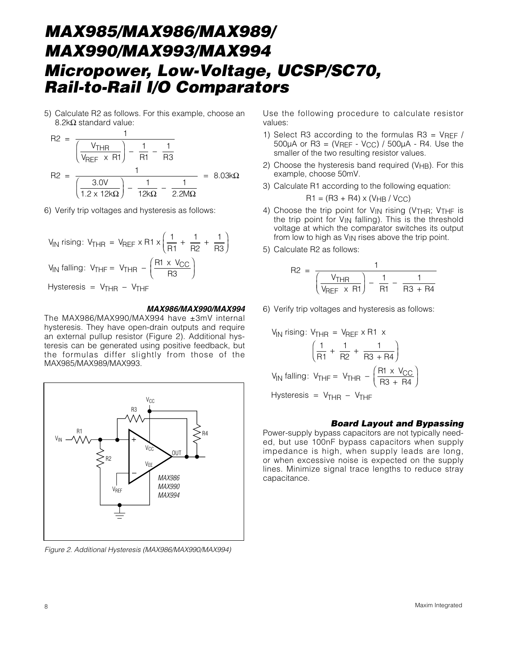5) Calculate R2 as follows. For this example, choose an 8.2kΩ standard value:

$$
R2 = \frac{1}{\left(\frac{V_{\text{THR}}}{V_{\text{REF}}} \times R1\right) - \frac{1}{R1} - \frac{1}{R3}}
$$

$$
R2 = \frac{1}{\left(\frac{3.0V}{1.2 \times 12k\Omega}\right) - \frac{1}{12k\Omega} - \frac{1}{2.2M\Omega}} = 8.03k\Omega
$$

6) Verify trip voltages and hysteresis as follows:

$$
V_{IN} \text{ rising: } V_{THR} = V_{REF} \times R1 \times \left(\frac{1}{R1} + \frac{1}{R2} + \frac{1}{R3}\right)
$$
  

$$
V_{IN} \text{ falling: } V_{THF} = V_{THR} - \left(\frac{R1 \times V_{CC}}{R3}\right)
$$
  
Hysteresis =  $V_{THR} - V_{THF}$ 

#### **MAX986/MAX990/MAX994**

The MAX986/MAX990/MAX994 have ±3mV internal hysteresis. They have open-drain outputs and require an external pullup resistor (Figure 2). Additional hysteresis can be generated using positive feedback, but the formulas differ slightly from those of the MAX985/MAX989/MAX993.



Figure 2. Additional Hysteresis (MAX986/MAX990/MAX994)

Use the following procedure to calculate resistor values:

- 1) Select R3 according to the formulas R3 =  $V_{REF}$  /  $500\mu$ A or R3 = (VREF - VCC) /  $500\mu$ A - R4. Use the smaller of the two resulting resistor values.
- 2) Choose the hysteresis band required (V<sub>HB</sub>). For this example, choose 50mV.
- 3) Calculate R1 according to the following equation:

$$
RI = (R3 + R4) \times (VHB / VCC)
$$

- 4) Choose the trip point for VIN rising (VTHR; VTHF is the trip point for VIN falling). This is the threshold voltage at which the comparator switches its output from low to high as VIN rises above the trip point.
- 5) Calculate R2 as follows:

$$
R2 = \frac{1}{\left(\frac{V_{\text{THR}}}{V_{\text{REF}}} \times R1\right) - \frac{1}{R1} - \frac{1}{R3 + R4}}
$$

6) Verify trip voltages and hysteresis as follows:

$$
V_{IN} \text{ rising: } V_{THR} = V_{REF} \times R1 \times
$$
\n
$$
\left(\frac{1}{R1} + \frac{1}{R2} + \frac{1}{R3 + R4}\right)
$$
\n
$$
V_{IN} \text{ falling: } V_{THF} = V_{THR} - \left(\frac{R1 \times V_{CC}}{R3 + R4}\right)
$$
\n
$$
Hysteresis = V_{THR} - V_{THF}
$$

#### **Board Layout and Bypassing**

Power-supply bypass capacitors are not typically needed, but use 100nF bypass capacitors when supply impedance is high, when supply leads are long, or when excessive noise is expected on the supply lines. Minimize signal trace lengths to reduce stray capacitance.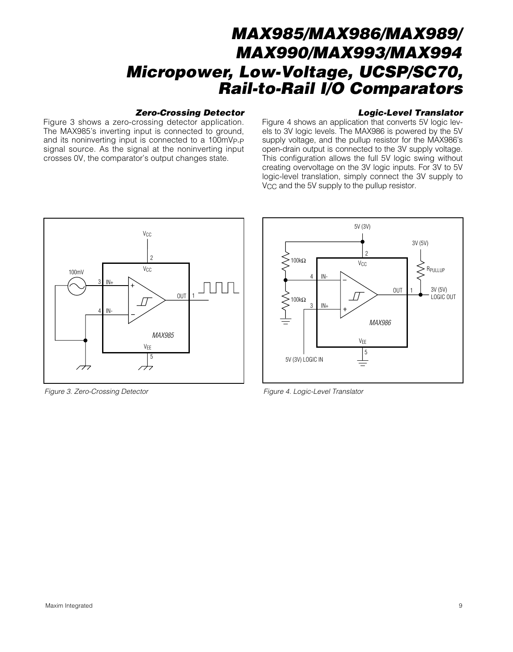#### **Zero-Crossing Detector**

Figure 3 shows a zero-crossing detector application. The MAX985's inverting input is connected to ground, and its noninverting input is connected to a 100mVP-P signal source. As the signal at the noninverting input crosses 0V, the comparator's output changes state.

#### **Logic-Level Translator**

Figure 4 shows an application that converts 5V logic levels to 3V logic levels. The MAX986 is powered by the 5V supply voltage, and the pullup resistor for the MAX986's open-drain output is connected to the 3V supply voltage. This configuration allows the full 5V logic swing without creating overvoltage on the 3V logic inputs. For 3V to 5V logic-level translation, simply connect the 3V supply to V<sub>CC</sub> and the 5V supply to the pullup resistor.



Figure 3. Zero-Crossing Detector Figure 4. Logic-Level Translator Figure 4. Logic-Level Translator

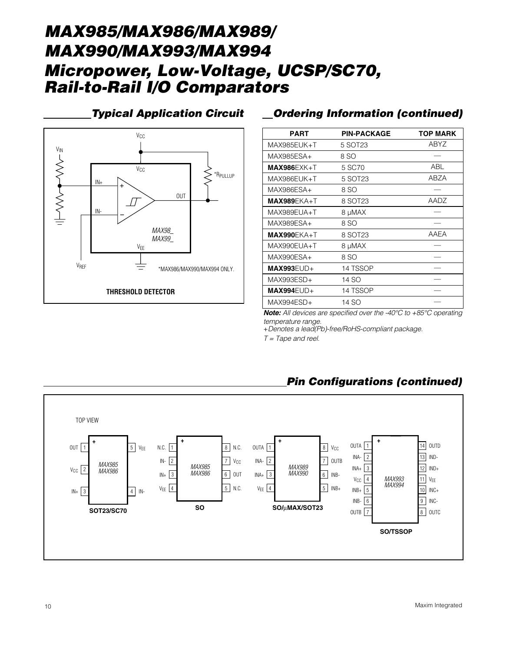

# **Typical Application Circuit Ordering Information (continued)**

| <b>PART</b>   | <b>PIN-PACKAGE</b> | <b>TOP MARK</b> |
|---------------|--------------------|-----------------|
| MAX985EUK+T   | 5 SOT23            | ABYZ            |
| MAX985ESA+    | 8 SO               |                 |
| $MAX986EXX+T$ | 5 SC70             | ABL             |
| MAX986EUK+T   | 5 SOT23            | ABZA            |
| MAX986ESA+    | 8 SO               |                 |
| $MAX989EKA+T$ | 8 SOT23            | AADZ            |
| MAX989EUA+T   | 8 µMAX             |                 |
| MAX989ESA+    | 8 SO               |                 |
| $MAX990EKA+T$ | 8 SOT23            | AAEA            |
| MAX990EUA+T   | 8 µMAX             |                 |
| $MAX990ESA+$  | 8 SO               |                 |
| $MAX993EUD+$  | 14 TSSOP           |                 |
| MAX993ESD+    | 14 SO              |                 |
| $MAX994EUD+$  | 14 TSSOP           |                 |
| $MAX994ESD+$  | 14 SO              |                 |

**Note:** All devices are specified over the -40°C to +85°C operating temperature range.

+Denotes a lead(Pb)-free/RoHS-compliant package.

 $T = \text{Tape}$  and reel.



# **Pin Configurations (continued)**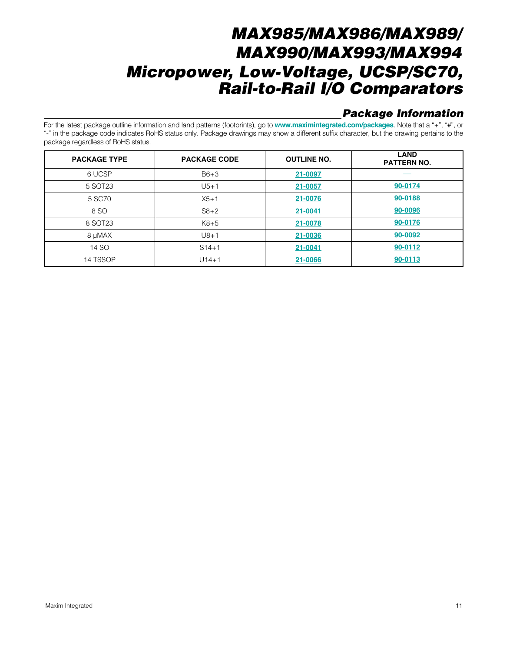# **Package Information**

For the latest package outline information and land patterns (footprints), go to **[www.maximintegrated.com/packages](http://www.maximintegrated.com/packages)**. Note that a "+", "#", or "-" in the package code indicates RoHS status only. Package drawings may show a different suffix character, but the drawing pertains to the package regardless of RoHS status.

| <b>PACKAGE TYPE</b> | <b>PACKAGE CODE</b> | <b>OUTLINE NO.</b> | <b>LAND</b><br><b>PATTERN NO.</b> |
|---------------------|---------------------|--------------------|-----------------------------------|
| 6 UCSP              | $B6+3$              | 21-0097            |                                   |
| 5 SOT23             | $U5+1$              | 21-0057            | 90-0174                           |
| 5 SC70              | $X5+1$              | 21-0076            | 90-0188                           |
| 8 SO                | $S8+2$              | 21-0041            | 90-0096                           |
| 8 SOT23             | $K8+5$              | 21-0078            | 90-0176                           |
| 8 µMAX              | $U8+1$              | 21-0036            | 90-0092                           |
| 14 SO               | $S14 + 1$           | 21-0041            | 90-0112                           |
| 14 TSSOP            | $U14+1$             | 21-0066            | 90-0113                           |